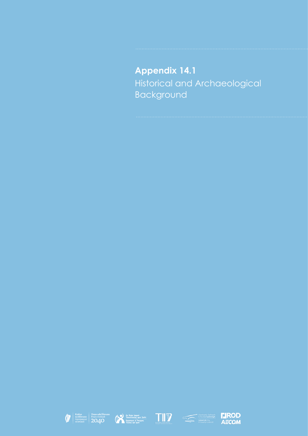# **Appendix 14.1** Historical and Archaeological Background









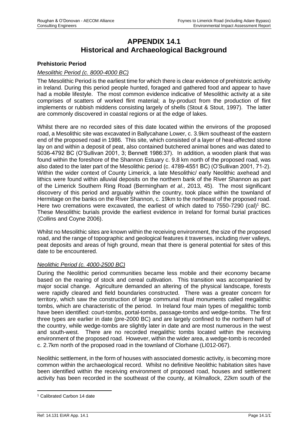## **APPENDIX 14.1 Historical and Archaeological Background**

#### **Prehistoric Period**

#### *Mesolithic Period (c. 8000-4000 BC)*

The Mesolithic Period is the earliest time for which there is clear evidence of prehistoric activity in Ireland. During this period people hunted, foraged and gathered food and appear to have had a mobile lifestyle. The most common evidence indicative of Mesolithic activity at a site comprises of scatters of worked flint material; a by-product from the production of flint implements or rubbish middens consisting largely of shells (Stout & Stout, 1997). The latter are commonly discovered in coastal regions or at the edge of lakes.

Whilst there are no recorded sites of this date located within the environs of the proposed road, a Mesolithic site was excavated in Ballycahane Lower, c. 3.9km southeast of the eastern end of the proposed road in 1986. This site, which consisted of a layer of heat-affected stone lay on and within a deposit of peat, also contained butchered animal bones and was dated to 5036-4792 BC (O'Sullivan 2001, 3; Bennett 1986:37). In addition, a wooden plank that was found within the foreshore of the Shannon Estuary c. 9.8 km north of the proposed road, was also dated to the later part of the Mesolithic period (c. 4789-4551 BC) (O'Sullivan 2001, 71-2). Within the wider context of County Limerick, a late Mesolithic/ early Neolithic axehead and lithics were found within alluvial deposits on the northern bank of the River Shannon as part of the Limerick Southern Ring Road (Bermingham *et al.*, 2013, 45). The most significant discovery of this period and arguably within the country, took place within the townland of Hermitage on the banks on the River Shannon, c. 19km to the northeast of the proposed road. Here two cremations were excavated, the earliest of which dated to  $7550-7290$  (cal)<sup>1</sup> BC. These Mesolithic burials provide the earliest evidence in Ireland for formal burial practices (Collins and Coyne 2006).

Whilst no Mesolithic sites are known within the receiving environment, the size of the proposed road, and the range of topographic and geological features it traverses, including river valleys, peat deposits and areas of high ground, mean that there is general potential for sites of this date to be encountered.

#### *Neolithic Period (c. 4000-2500 BC)*

During the Neolithic period communities became less mobile and their economy became based on the rearing of stock and cereal cultivation. This transition was accompanied by major social change. Agriculture demanded an altering of the physical landscape, forests were rapidly cleared and field boundaries constructed. There was a greater concern for territory, which saw the construction of large communal ritual monuments called megalithic tombs, which are characteristic of the period. In Ireland four main types of megalithic tomb have been identified: court-tombs, portal-tombs, passage-tombs and wedge-tombs. The first three types are earlier in date (pre-2000 BC) and are largely confined to the northern half of the country, while wedge-tombs are slightly later in date and are most numerous in the west and south-west. There are no recorded megalithic tombs located within the receiving environment of the proposed road. However, within the wider area, a wedge-tomb is recorded c. 2.7km north of the proposed road in the townland of Clorhane (LI012-067).

Neolithic settlement, in the form of houses with associated domestic activity, is becoming more common within the archaeological record. Whilst no definitive Neolithic habitation sites have been identified within the receiving environment of proposed road, houses and settlement activity has been recorded in the southeast of the county, at Kilmallock, 22km south of the

<sup>1</sup> Calibrated Carbon 14 date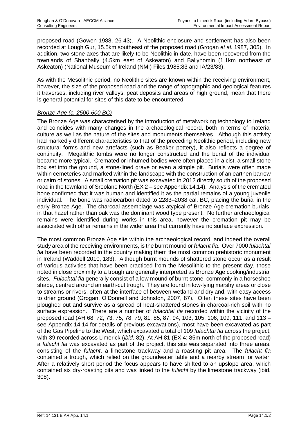proposed road (Gowen 1988, 26-43). A Neolithic enclosure and settlement has also been recorded at Lough Gur, 15.5km southeast of the proposed road (Grogan *et al.* 1987, 305). In addition, two stone axes that are likely to be Neolithic in date, have been recovered from the townlands of Shanbally (4.5km east of Askeaton) and Ballyhomin (1.1km northeast of Askeaton) (National Museum of Ireland (NMI) Files 1985:83 and IA/23/83).

As with the Mesolithic period, no Neolithic sites are known within the receiving environment, however, the size of the proposed road and the range of topographic and geological features it traverses, including river valleys, peat deposits and areas of high ground, mean that there is general potential for sites of this date to be encountered.

#### *Bronze Age (c. 2500-600 BC)*

The Bronze Age was characterised by the introduction of metalworking technology to Ireland and coincides with many changes in the archaeological record, both in terms of material culture as well as the nature of the sites and monuments themselves. Although this activity had markedly different characteristics to that of the preceding Neolithic period, including new structural forms and new artefacts (such as Beaker pottery), it also reflects a degree of continuity. Megalithic tombs were no longer constructed and the burial of the individual became more typical. Cremated or inhumed bodies were often placed in a cist, a small stone box set into the ground, a stone-lined grave or even a simple pit. Burials were often made within cemeteries and marked within the landscape with the construction of an earthen barrow or cairn of stones. A small cremation pit was excavated in 2012 directly south of the proposed road in the townland of Sroolane North (EX 2 – see Appendix 14.14). Analysis of the cremated bone confirmed that it was human and identified it as the partial remains of a young juvenile individual. The bone was radiocarbon dated to 2283–2038 cal. BC, placing the burial in the early Bronze Age. The charcoal assemblage was atypical of Bronze Age cremation burials, in that hazel rather than oak was the dominant wood type present. No further archaeological remains were identified during works in this area, however the cremation pit may be associated with other remains in the wider area that currently have no surface expression.

The most common Bronze Age site within the archaeological record, and indeed the overall study area of the receiving environments, is the burnt mound or *fulacht fia*. Over 7000 *fulachtaí fia* have been recorded in the country making them the most common prehistoric monument in Ireland (Waddell 2010, 183). Although burnt mounds of shattered stone occur as a result of various activities that have been practiced from the Mesolithic to the present day, those noted in close proximity to a trough are generally interpreted as Bronze Age cooking/industrial sites. *Fulachtaí fia* generally consist of a low mound of burnt stone, commonly in a horseshoe shape, centred around an earth-cut trough. They are found in low-lying marshy areas or close to streams or rivers, often at the interface of between wetland and dryland, with easy access to drier ground (Grogan, O'Donnell and Johnston, 2007, 87). Often these sites have been ploughed out and survive as a spread of heat-shattered stones in charcoal-rich soil with no surface expression. There are a number of *fulachtaí fia* recorded within the vicinity of the proposed road (AH 68, 72, 73, 75, 78, 79, 81, 85, 87, 94, 103, 105, 106, 109, 111, and 113 – see Appendix 14.14 for details of previous excavations), most have been excavated as part of the Gas Pipeline to the West, which excavated a total of 109 *fulachtaí fia* across the project, with 39 recorded across Limerick (*ibid*. 82). At AH 81 (EX 4; 85m north of the proposed road) a *fulacht fia* was excavated as part of the project, this site was separated into three areas, consisting of the *fulacht*, a limestone trackway and a roasting pit area. The *fulacht fia* contained a trough, which relied on the groundwater table and a nearby stream for water. After a relatively short period the focus appears to have shifted to an upslope area, which contained six dry-roasting pits and was linked to the *fulacht* by the limestone trackway (ibid. 308).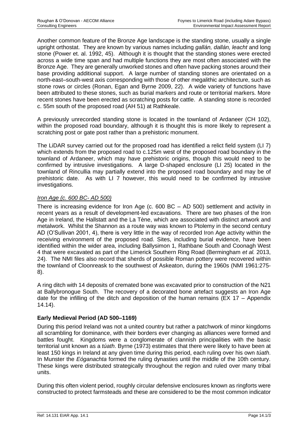Another common feature of the Bronze Age landscape is the standing stone, usually a single upright orthostat. They are known by various names including *gallán, dallán, leacht* and long stone (Power et. al. 1992, 45). Although it is thought that the standing stones were erected across a wide time span and had multiple functions they are most often associated with the Bronze Age. They are generally unworked stones and often have packing stones around their base providing additional support. A large number of standing stones are orientated on a north-east–south-west axis corresponding with those of other megalithic architecture, such as stone rows or circles (Ronan, Egan and Byrne 2009, 22). A wide variety of functions have been attributed to these stones, such as burial markers and route or territorial markers. More recent stones have been erected as scratching posts for cattle. A standing stone is recorded c. 55m south of the proposed road (AH 51) at Rathkeale.

A previously unrecorded standing stone is located in the townland of Ardaneer (CH 102), within the proposed road boundary, although it is thought this is more likely to represent a scratching post or gate post rather than a prehistoric monument.

The LiDAR survey carried out for the proposed road has identified a relict field system (LI 7) which extends from the proposed road to c.125m west of the proposed road boundary in the townland of Ardaneer, which may have prehistoric origins, though this would need to be confirmed by intrusive investigations. A large D-shaped enclosure (LI 25) located in the townland of Rincullia may partially extend into the proposed road boundary and may be of prehistoric date. As with LI 7 however, this would need to be confirmed by intrusive investigations.

#### *Iron Age (c. 600 BC- AD 500)*

There is increasing evidence for Iron Age (c. 600 BC – AD 500) settlement and activity in recent years as a result of development-led excavations. There are two phases of the Iron Age in Ireland, the Hallstatt and the La Tène, which are associated with distinct artwork and metalwork. Whilst the Shannon as a route way was known to Ptolemy in the second century AD (O'Sullivan 2001, 4), there is very little in the way of recorded Iron Age activity within the receiving environment of the proposed road. Sites, including burial evidence, have been identified within the wider area, including Ballysimon 1, Rathbane South and Coonagh West 4 that were excavated as part of the Limerick Southern Ring Road (Bermingham *et al.* 2013, 24). The NMI files also record that sherds of possible Roman pottery were recovered within the townland of Cloonreask to the southwest of Askeaton, during the 1960s (NMI 1961:275- 8).

A ring ditch with 14 deposits of cremated bone was excavated prior to construction of the N21 at Ballybronogue South. The recovery of a decorated bone artefact suggests an Iron Age date for the infilling of the ditch and deposition of the human remains ( $EX 17 - Appendix$ 14.14).

### **Early Medieval Period (AD 500–1169)**

During this period Ireland was not a united country but rather a patchwork of minor kingdoms all scrambling for dominance, with their borders ever changing as alliances were formed and battles fought. Kingdoms were a conglomerate of clannish principalities with the basic territorial unit known as a *túath*. Byrne (1973) estimates that there were likely to have been at least 150 kings in Ireland at any given time during this period, each ruling over his own *túath*. In Munster the *Eóganachta* formed the ruling dynasties until the middle of the 10th century. These kings were distributed strategically throughout the region and ruled over many tribal units.

During this often violent period, roughly circular defensive enclosures known as ringforts were constructed to protect farmsteads and these are considered to be the most common indicator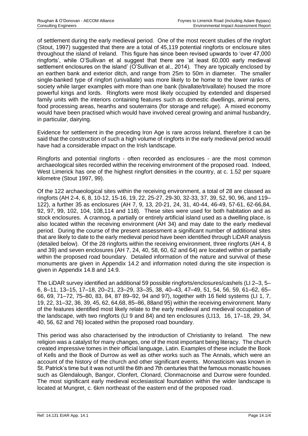of settlement during the early medieval period. One of the most recent studies of the ringfort (Stout, 1997) suggested that there are a total of 45,119 potential ringforts or enclosure sites throughout the island of Ireland. This figure has since been revised upwards to 'over 47,000 ringforts', while O'Sullivan et al suggest that there are 'at least 60,000 early medieval settlement enclosures on the island' (O'Sullivan et al., 2014). They are typically enclosed by an earthen bank and exterior ditch, and range from 25m to 50m in diameter. The smaller single-banked type of ringfort (univallate) was more likely to be home to the lower ranks of society while larger examples with more than one bank (bivallate/trivallate) housed the more powerful kings and lords. Ringforts were most likely occupied by extended and dispersed family units with the interiors containing features such as domestic dwellings, animal pens, food processing areas, hearths and souterrains (for storage and refuge). A mixed economy would have been practised which would have involved cereal growing and animal husbandry, in particular, dairying.

Evidence for settlement in the preceding Iron Age is rare across Ireland, therefore it can be said that the construction of such a high volume of ringforts in the early medieval period would have had a considerable impact on the Irish landscape.

Ringforts and potential ringforts - often recorded as enclosures - are the most common archaeological sites recorded within the receiving environment of the proposed road. Indeed, West Limerick has one of the highest ringfort densities in the country, at c. 1.52 per square kilometre (Stout 1997, 99).

Of the 122 archaeological sites within the receiving environment, a total of 28 are classed as ringforts (AH 2-4, 6, 8, 10-12, 15-16, 19, 22, 25-27, 29-30, 32-33, 37, 39, 52, 90, 96, and 119– 122), a further 35 as enclosures (AH 7, 9, 13, 20-21, 24, 31, 40-44, 46-49, 57-61, 62-66,84, 92, 97, 99, 102, 104, 108,114 and 118). These sites were used for both habitation and as stock enclosures. A crannog, a partially or entirely artificial island used as a dwelling place, is also located within the receiving environment (AH 34) and may date to the early medieval period. During the course of the present assessment a significant number of additional sites that are likely to date to the early medieval period have been identified through LiDAR analysis (detailed below). Of the 28 ringforts within the receiving environment, three ringforts (AH 4, 8 and 39) and seven enclosures (AH 7, 24, 40, 58, 60, 62 and 64) are located within or partially within the proposed road boundary. Detailed information of the nature and survival of these monuments are given in Appendix 14.2 and information noted during the site inspection is given in Appendix 14.8 and 14.9.

The LiDAR survey identified an additional 59 possible ringforts/enclosures/cashels (LI 2–3, 5– 6, 8–11, 13–15, 17–18, 20–21, 23–29, 33–35, 38, 40–43, 47–49, 51, 54, 56, 59, 61–62, 65– 66, 69, 71–72, 75–80, 83, 84, 87 89–92, 94 and 97), together with 16 field systems (LI 1, 7, 19, 22, 31–32, 36, 39, 45, 62, 64,68, 85–86, 88and 95) within the receiving environment. Many of the features identified most likely relate to the early medieval and medieval occupation of the landscape, with two ringforts (LI 9 and 84) and ten enclosures (LI13, 16, 17–18, 29, 34, 40, 56, 62 and 76) located within the proposed road boundary.

This period was also characterised by the introduction of Christianity to Ireland. The new religion was a catalyst for many changes, one of the most important being literacy. The church created impressive tomes in their official language, Latin. Examples of these include the Book of Kells and the Book of Durrow as well as other works such as The Annals, which were an account of the history of the church and other significant events. Monasticism was known in St. Patrick's time but it was not until the 6th and 7th centuries that the famous monastic houses such as Glendalough, Bangor, Clonfert, Clonard, Clonmacnoise and Durrow were founded. The most significant early medieval ecclesiastical foundation within the wider landscape is located at Mungret, c. 6km northeast of the eastern end of the proposed road.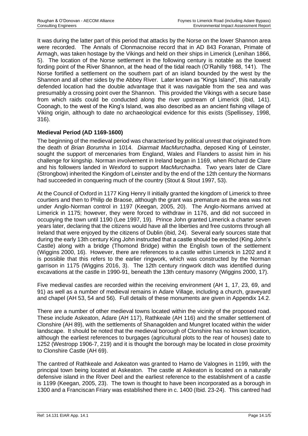It was during the latter part of this period that attacks by the Norse on the lower Shannon area were recorded. The Annals of Clonmacnoise record that in AD 843 Foranan, Primate of Armagh, was taken hostage by the Vikings and held on their ships in Limerick (Lenihan 1866, 5). The location of the Norse settlement in the following century is notable as the lowest fording point of the River Shannon, at the head of the tidal reach (O'Rahilly 1988, 141). The Norse fortified a settlement on the southern part of an island bounded by the west by the Shannon and all other sides by the Abbey River. Later known as "Kings Island", this naturally defended location had the double advantage that it was navigable from the sea and was presumably a crossing point over the Shannon. This provided the Vikings with a secure base from which raids could be conducted along the river upstream of Limerick (ibid, 141). Coonagh, to the west of the King's Island, was also described as an ancient fishing village of Viking origin, although to date no archaeological evidence for this exists (Spellissey, 1998, 316).

### **Medieval Period (AD 1169-1600)**

The beginning of the medieval period was characterised by political unrest that originated from the death of *Brian Borumha* in 1014. *Diarmait MacMurchadha*, deposed King of Leinster, sought the support of mercenaries from England, Wales and Flanders to assist him in his challenge for kingship. Norman involvement in Ireland began in 1169, when Richard de Clare and his followers landed in Wexford to support *MacMurchadha*. Two years later de Clare (Strongbow) inherited the Kingdom of Leinster and by the end of the 12th century the Normans had succeeded in conquering much of the country (Stout & Stout 1997, 53).

At the Council of Oxford in 1177 King Henry II initially granted the kingdom of Limerick to three courtiers and then to Philip de Braose, although the grant was premature as the area was not under Anglo-Norman control in 1197 (Keegan, 2005, 20). The Anglo-Normans arrived at Limerick in 1175; however, they were forced to withdraw in 1176, and did not succeed in occupying the town until 1190 (Lee 1997, 19). Prince John granted Limerick a charter seven years later, declaring that the citizens would have all the liberties and free customs through all Ireland that were enjoyed by the citizens of Dublin (ibid, 24). Several early sources state that during the early 13th century King John instructed that a castle should be erected (King John's Castle) along with a bridge (Thomond Bridge) within the English town of the settlement (Wiggins 2000, 16). However, there are references to a castle within Limerick in 1202 and it is possible that this refers to the earlier ringwork, which was constructed by the Norman garrison in 1175 (Wiggins 2016, 3). The 12th century ringwork ditch was identified during excavations at the castle in 1990-91, beneath the 13th century masonry (Wiggins 2000, 17).

Five medieval castles are recorded within the receiving environment (AH 1, 17, 23, 69, and 91) as well as a number of medieval remains in Adare Village, including a church, graveyard and chapel (AH 53, 54 and 56). Full details of these monuments are given in Appendix 14.2.

There are a number of other medieval towns located within the vicinity of the proposed road. These include Askeaton, Adare (AH 117), Rathkeale (AH 116) and the smaller settlement of Clonshire (AH 89), with the settlements of Shanagolden and Mungret located within the wider landscape. It should be noted that the medieval borough of Clonshire has no known location, although the earliest references to burgages (agricultural plots to the rear of houses) date to 1252 (Westropp 1906-7, 219) and it is thought the borough may be located in close proximity to Clonshire Castle (AH 69).

The cantred of Rathkeale and Askeaton was granted to Hamo de Valognes in 1199, with the principal town being located at Askeaton. The castle at Askeaton is located on a naturally defensive island in the River Deel and the earliest reference to the establishment of a castle is 1199 (Keegan, 2005, 23). The town is thought to have been incorporated as a borough in 1300 and a Franciscan Friary was established there in c. 1400 (Ibid. 23-24). This cantred had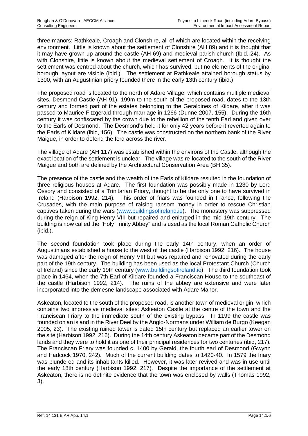three manors: Rathkeale, Croagh and Clonshire, all of which are located within the receiving environment. Little is known about the settlement of Clonshire (AH 89) and it is thought that it may have grown up around the castle (AH 69) and medieval parish church (Ibid. 24). As with Clonshire, little is known about the medieval settlement of Croagh. It is thought the settlement was centred about the church, which has survived, but no elements of the original borough layout are visible (ibid.). The settlement at Rathkeale attained borough status by 1300, with an Augustinian priory founded there in the early 13th century (ibid.)

The proposed road is located to the north of Adare Village, which contains multiple medieval sites. Desmond Castle (AH 91), 199m to the south of the proposed road, dates to the 13th century and formed part of the estates belonging to the Geraldines of Kildare, after it was passed to Maurice Fitzgerald through marriage in 1266 (Dunne 2007, 155). During the 16th century it was confiscated by the crown due to the rebellion of the tenth Earl and given over to the Earls of Desmond. The Desmond's held it for only 42 years before it reverted again to the Earls of Kildare (ibid, 156). The castle was constructed on the northern bank of the River Maigue, in order to defend the ford across the river.

The village of Adare (AH 117) was established within the environs of the Castle, although the exact location of the settlement is unclear. The village was re-located to the south of the River Maigue and both are defined by the Architectural Conservation Area (BH 35).

The presence of the castle and the wealth of the Earls of Kildare resulted in the foundation of three religious houses at Adare. The first foundation was possibly made in 1230 by Lord Ossory and consisted of a Trinitarian Priory, thought to be the only one to have survived in Ireland (Harbison 1992, 214). This order of friars was founded in France, following the Crusades, with the main purpose of raising ransom money in order to rescue Christian captives taken during the wars [\(www.buildingsofireland.ie\)](http://www.buildingsofireland.ie/). The monastery was suppressed during the reign of King Henry VIII but repaired and enlarged in the mid-19th century. The building is now called the "Holy Trinity Abbey" and is used as the local Roman Catholic Church (ibid.).

The second foundation took place during the early 14th century, when an order of Augustinians established a house to the west of the castle (Harbison 1992, 216). The house was damaged after the reign of Henry VIII but was repaired and renovated during the early part of the 19th century. The building has been used as the local Protestant Church (Church of Ireland) since the early 19th century [\(www.buildingsofireland.](http://www.buildingsofireland/)ie). The third foundation took place in 1464, when the 7th Earl of Kildare founded a Franciscan House to the southeast of the castle (Harbison 1992, 214). The ruins of the abbey are extensive and were later incorporated into the demesne landscape associated with Adare Manor.

Askeaton, located to the south of the proposed road, is another town of medieval origin, which contains two impressive medieval sites: Askeaton Castle at the centre of the town and the Franciscan Friary to the immediate south of the existing bypass. In 1199 the castle was founded on an island in the River Deel by the Anglo-Normans under William de Burgo (Keegan 2005, 23). The existing ruined tower is dated 15th century but replaced an earlier tower on the site (Harbison 1992, 216). During the 14th century Askeaton became part of the Desmond lands and they were to hold it as one of their principal residences for two centuries (ibid, 217). The Franciscan Friary was founded c. 1400 by Gerald, the fourth earl of Desmond (Gwynn and Hadcock 1970, 242). Much of the current building dates to 1420-40. In 1579 the friary was plundered and its inhabitants killed. However, it was later revived and was in use until the early 18th century (Harbison 1992, 217). Despite the importance of the settlement at Askeaton, there is no definite evidence that the town was enclosed by walls (Thomas 1992, 3).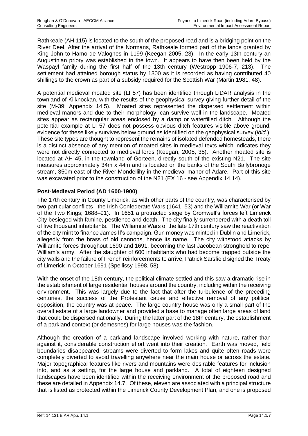Rathkeale (AH 115) is located to the south of the proposed road and is a bridging point on the River Deel. After the arrival of the Normans, Rathkeale formed part of the lands granted by King John to Hamo de Valognes in 1199 (Keegan 2005, 23). In the early 13th century an Augustinian priory was established in the town. It appears to have then been held by the Waspayl family during the first half of the 13th century (Westropp 1906-7, 213). The settlement had attained borough status by 1300 as it is recorded as having contributed 40 shillings to the crown as part of a subsidy required for the Scottish War (Martin 1981, 48).

A potential medieval moated site (LI 57) has been identified through LiDAR analysis in the townland of Kilknockan, with the results of the geophysical survey giving further detail of the site (M-39; Appendix 14.5). Moated sites represented the dispersed settlement within medieval manors and due to their morphology, can survive well in the landscape. Moated sites appear as rectangular areas enclosed by a damp or waterfilled ditch. Although the potential example at LI 57 does not possess obvious ditch features visible above ground, evidence for these likely survives below ground as identified on the geophysical survey (*ibid*.). These site types are thought to represent the remains of isolated defended homesteads, there is a distinct absence of any mention of moated sites in medieval texts which indicates they were not directly connected to medieval lords (Keegan, 2005, 35). Another moated site is located at AH 45, in the townland of Gorteen, directly south of the existing N21. The site measures approximately 34m x 44m and is located on the banks of the South Ballybronoge stream, 350m east of the River Mondellihy in the medieval manor of Adare. Part of this site was excavated prior to the construction of the N21 (EX 16 - see Appendix 14.14).

### **Post-Medieval Period (AD 1600-1900)**

The 17th century in County Limerick, as with other parts of the country, was characterised by two particular conflicts - the Irish Confederate Wars (1641–53) and the Williamite War (or War of the Two Kings; 1688–91). In 1651 a protracted siege by Cromwell's forces left Limerick City besieged with famine, pestilence and death. The city finally surrendered with a death toll of five thousand inhabitants. The Williamite Wars of the late 17th century saw the reactivation of the city mint to finance James II's campaign. Gun money was minted in Dublin and Limerick, allegedly from the brass of old cannons, hence its name. The city withstood attacks by Williamite forces throughout 1690 and 1691, becoming the last Jacobean stronghold to repel William's army. After the slaughter of 600 inhabitants who had become trapped outside the city walls and the failure of French reinforcements to arrive, Patrick Sarsfield signed the Treaty of Limerick in October 1691 (Spellissy 1998, 58).

With the onset of the 18th century, the political climate settled and this saw a dramatic rise in the establishment of large residential houses around the country, including within the receiving environment. This was largely due to the fact that after the turbulence of the preceding centuries, the success of the Protestant cause and effective removal of any political opposition, the country was at peace. The large country house was only a small part of the overall estate of a large landowner and provided a base to manage often large areas of land that could be dispersed nationally. During the latter part of the 18th century, the establishment of a parkland context (or demesnes) for large houses was the fashion.

Although the creation of a parkland landscape involved working with nature, rather than against it, considerable construction effort went into their creation. Earth was moved, field boundaries disappeared, streams were diverted to form lakes and quite often roads were completely diverted to avoid travelling anywhere near the main house or across the estate. Major topographical features like rivers and mountains were desirable features for inclusion into, and as a setting, for the large house and parkland. A total of eighteen designed landscapes have been identified within the receiving environment of the proposed road and these are detailed in Appendix 14.7. Of these, eleven are associated with a principal structure that is listed as protected within the Limerick County Development Plan, and one is proposed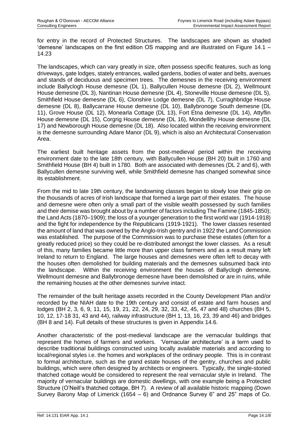for entry in the record of Protected Structures. The landscapes are shown as shaded 'demesne' landscapes on the first edition OS mapping and are illustrated on Figure 14.1 – 14.23

The landscapes, which can vary greatly in size, often possess specific features, such as long driveways, gate lodges, stately entrances, walled gardens, bodies of water and belts, avenues and stands of deciduous and specimen trees. The demesnes in the receiving environment include Ballyclogh House demesne (DL 1), Ballycullen House demesne (DL 2), Wellmount House demesne (DL 3), Nantinan House demesne (DL 4), Stoneville House demesne (DL 5), Smithfield House demesne (DL 6), Clonshire Lodge demesne (DL 7), Curraghbridge House demesne (DL 8), Ballycarrane House demesne (DL 10), Ballybronoge South demesne (DL 11), Grove House (DL 12), Monearla Cottage (DL 13), Fort Etna demesne (DL 14), Attyflin House demesne (DL 15), Corgrig House demesne (DL 16), Mondellihy House demesne (DL 17) and Newborough House demesne (DL 18). Also located within the receiving environment is the demesne surrounding Adare Manor (DL 9), which is also an Architectural Conservation Area.

The earliest built heritage assets from the post-medieval period within the receiving environment date to the late 18th century, with Ballycullen House (BH 20) built in 1760 and Smithfield House (BH 4) built in 1780. Both are associated with demesnes (DL 2 and 6), with Ballycullen demesne surviving well, while Smithfield demesne has changed somewhat since its establishment.

From the mid to late 19th century, the landowning classes began to slowly lose their grip on the thousands of acres of Irish landscape that formed a large part of their estates. The house and demesne were often only a small part of the visible wealth possessed by such families and their demise was brought about by a number of factors including The Famine (1845-1850); the Land Acts (1870–1909); the loss of a younger generation to the first world war (1914-1918) and the fight for independence by the Republicans (1919-1921). The lower classes resented the amount of land that was owned by the Anglo-Irish gentry and in 1922 the Land Commission was established. The purpose of the Commission was to purchase these estates (often for a greatly reduced price) so they could be re-distributed amongst the lower classes. As a result of this, many families became little more than upper class farmers and as a result many left Ireland to return to England. The large houses and demesnes were often left to decay with the houses often demolished for building materials and the demesnes subsumed back into the landscape. Within the receiving environment the houses of Ballyclogh demesne, Wellmount demesne and Ballybronoge demesne have been demolished or are in ruins, while the remaining houses at the other demesnes survive intact.

The remainder of the built heritage assets recorded in the County Development Plan and/or recorded by the NIAH date to the 19th century and consist of estate and farm houses and lodges (BH 2, 3, 6, 9, 11, 15, 19, 21, 22, 24, 29, 32, 33, 42, 45, 47 and 48) churches (BH 5, 10, 12, 17-18 31, 43 and 44), railway infrastructure (BH 1, 13, 16, 23, 39 and 46) and bridges (BH 8 and 14). Full details of these structures is given in Appendix 14.6.

Another characteristic of the post-medieval landscape are the vernacular buildings that represent the homes of farmers and workers. 'Vernacular architecture' is a term used to describe traditional buildings constructed using locally available materials and according to local/regional styles i.e. the homes and workplaces of the ordinary people. This is in contrast to formal architecture, such as the grand estate houses of the gentry, churches and public buildings, which were often designed by architects or engineers. Typically, the single-storied thatched cottage would be considered to represent the real vernacular style in Ireland. The majority of vernacular buildings are domestic dwellings, with one example being a Protected Structure (O'Neill's thatched cottage, BH 7). A review of all available historic mapping (Down Survey Barony Map of Limerick (1654 – 6) and Ordnance Survey 6" and 25" maps of Co.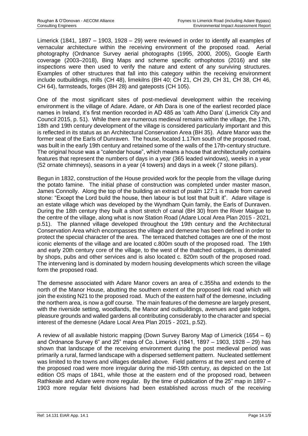Limerick (1841, 1897 – 1903, 1928 – 29) were reviewed in order to identify all examples of vernacular architecture within the receiving environment of the proposed road. Aerial photography (Ordnance Survey aerial photographs (1995, 2000, 2005), Google Earth coverage (2003–2018), Bing Maps and scheme specific orthophotos (2016) and site inspections were then used to verify the nature and extent of any surviving structures. Examples of other structures that fall into this category within the receiving environment include outbuildings, mills (CH 48), limekilns (BH 40; CH 21, CH 29, CH 31, CH 38, CH 46, CH 64), farmsteads, forges (BH 28) and gateposts (CH 105).

One of the most significant sites of post-medieval development within the receiving environment is the village of Adare. Adare, or Ath Dara is one of the earliest recorded place names in Ireland, it's first mention recorded in AD 485 as 'cath Atho Dara' (Limerick City and Council 2015, p. 51). While there are numerous medieval remains within the village, the 17th, 18th and 19th century development of the village is considered particularly important and this is reflected in its status as an Architectural Conservation Area (BH 35). Adare Manor was the former seat of the Earls of Dunraven. The house, located 1.17km south of the proposed road, was built in the early 19th century and retained some of the walls of the 17th-century structure. The original house was a "calendar house", which means a house that architecturally contains features that represent the numbers of days in a year (365 leaded windows), weeks in a year (52 ornate chimneys), seasons in a year (4 towers) and days in a week (7 stone pillars).

Begun in 1832, construction of the House provided work for the people from the village during the potato famine. The initial phase of construction was completed under master mason, James Connolly. Along the top of the building an extract of psalm 127:1 is made from carved stone: "Except the Lord build the house, then labour is but lost that built it". Adare village is an estate village which was developed by the Wyndham Quin family, the Earls of Dunraven. During the 18th century they built a short stretch of canal (BH 30) from the River Maigue to the centre of the village, along what is now Station Road (Adare Local Area Plan 2015 - 2021, p.51). The planned village developed throughout the 19th century and the Architectural Conservation Area which encompasses the village and demesne has been defined in order to protect the special character of the area. The terraced thatched cottages are one of the most iconic elements of the village and are located c.800m south of the proposed road. The 19th and early 20th century core of the village, to the west of the thatched cottages, is dominated by shops, pubs and other services and is also located c. 820m south of the proposed road. The intervening land is dominated by modern housing developments which screen the village form the proposed road.

The demesne associated with Adare Manor covers an area of c.355ha and extends to the north of the Manor House, abutting the southern extent of the proposed link road which will join the existing N21 to the proposed road. Much of the eastern half of the demesne, including the northern area, is now a golf course. The main features of the demesne are largely present, with the riverside setting, woodlands, the Manor and outbuildings, avenues and gate lodges, pleasure grounds and walled gardens all contributing considerably to the character and special interest of the demesne (Adare Local Area Plan 2015 - 2021, p.52).

A review of all available historic mapping (Down Survey Barony Map of Limerick (1654 – 6) and Ordnance Survey 6" and 25" maps of Co. Limerick (1841, 1897 – 1903, 1928 – 29) has shown that landscape of the receiving environment during the post medieval period was primarily a rural, farmed landscape with a dispersed settlement pattern. Nucleated settlement was limited to the towns and villages detailed above. Field patterns at the west and centre of the proposed road were more irregular during the mid-19th century, as depicted on the 1st edition OS maps of 1841, while those at the eastern end of the proposed road, between Rathkeale and Adare were more regular. By the time of publication of the 25" map in 1897 – 1903 more regular field divisions had been established across much of the receiving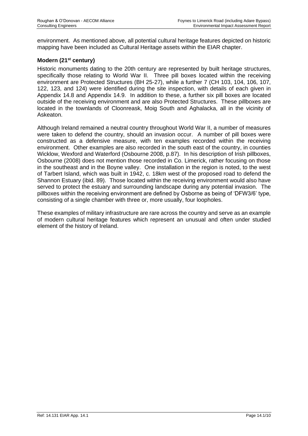environment. As mentioned above, all potential cultural heritage features depicted on historic mapping have been included as Cultural Heritage assets within the EIAR chapter.

#### **Modern (21st century)**

Historic monuments dating to the 20th century are represented by built heritage structures, specifically those relating to World War II. Three pill boxes located within the receiving environment are Protected Structures (BH 25-27), while a further 7 (CH 103, 104, 106, 107, 122, 123, and 124) were identified during the site inspection, with details of each given in Appendix 14.8 and Appendix 14.9. In addition to these, a further six pill boxes are located outside of the receiving environment and are also Protected Structures. These pillboxes are located in the townlands of Cloonreask, Moig South and Aghalacka, all in the vicinity of Askeaton.

Although Ireland remained a neutral country throughout World War II, a number of measures were taken to defend the country, should an invasion occur. A number of pill boxes were constructed as a defensive measure, with ten examples recorded within the receiving environment. Other examples are also recorded in the south east of the country, in counties Wicklow, Wexford and Waterford (Osbourne 2008, p.87). In his description of Irish pillboxes, Osbourne (2008) does not mention those recorded in Co. Limerick, rather focusing on those in the southeast and in the Boyne valley. One installation in the region is noted, to the west of Tarbert Island, which was built in 1942, c. 18km west of the proposed road to defend the Shannon Estuary (ibid. 89). Those located within the receiving environment would also have served to protect the estuary and surrounding landscape during any potential invasion. The pillboxes within the receiving environment are defined by Osborne as being of 'DFW3/6' type, consisting of a single chamber with three or, more usually, four loopholes.

These examples of military infrastructure are rare across the country and serve as an example of modern cultural heritage features which represent an unusual and often under studied element of the history of Ireland.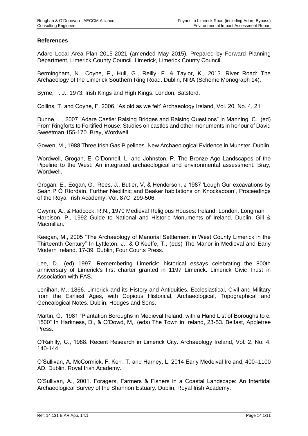#### **References**

Adare Local Area Plan 2015-2021 (amended May 2015). Prepared by Forward Planning Department, Limerick County Council. Limerick, Limerick County Council.

Bermingham, N., Coyne, F., Hull, G., Reilly, F. & Taylor, K., 2013. River Road: The Archaeology of the Limerick Southern Ring Road. Dublin, NRA (Scheme Monograph 14).

Byrne, F. J., 1973. Irish Kings and High Kings. London, Batsford.

Collins, T. and Coyne, F. 2006. 'As old as we felt' Archaeology Ireland, Vol. 20, No. 4, 21

Dunne, L., 2007 "Adare Castle: Raising Bridges and Raising Questions" in Manning, C., (ed) From Ringforts to Fortified House: Studies on castles and other monuments in honour of David Sweetman.155-170. Bray, Wordwell.

Gowen, M., 1988 Three Irish Gas Pipelines. New Archaeological Evidence in Munster. Dublin.

Wordwell, Grogan, E. O'Donnell, L. and Johnston, P. The Bronze Age Landscapes of the Pipeline to the West: An integrated archaeological and environmental assessment. Bray, Wordwell.

Grogan, E., Eogan, G., Rees, J., Butler, V, & Henderson, J 1987 'Lough Gur excavations by Seán P Ó Ríordáin. Further Neolithic and Beaker habitations on Knockadoon', Proceedings of the Royal Irish Academy, Vol. 87C, 299-506.

Gwynn, A., & Hadcock, R.N., 1970 Medieval Religious Houses: Ireland. London, Longman Harbison, P., 1992 Guide to National and Historic Monuments of Ireland. Dublin, Gill & Macmillan.

Keegan, M., 2005 "The Archaeology of Manorial Settlement in West County Limerick in the Thirteenth Century" In Lyttleton, J., & O'Keeffe, T., (eds) The Manor in Medieval and Early Modern Ireland. 17-39, Dublin, Four Courts Press.

Lee, D., (ed) 1997. Remembering Limerick: historical essays celebrating the 800th anniversary of Limerick's first charter granted in 1197 Limerick. Limerick Civic Trust in Association with FAS.

Lenihan, M., 1866. Limerick and its History and Antiquities, Ecclesiastical, Civil and Military from the Earliest Ages, with Copious Historical, Archaeological, Topographical and Genealogical Notes. Dublin, Hodges and Sons.

Martin, G., 1981 "Plantation Boroughs in Medieval Ireland, with a Hand List of Boroughs to c. 1500" In Harkness, D., & O'Dowd, M,. (eds) The Town in Ireland, 23-53. Belfast, Appletree Press.

O'Rahilly, C., 1988. Recent Research in Limerick City. Archaeology Ireland, Vol. 2, No. 4. 140-144.

O'Sullivan, A. McCormick, F. Kerr, T. and Harney, L. 2014 Early Medeival Ireland, 400–1100 AD. Dublin, Royal Irish Academy.

O'Sullivan, A., 2001. Foragers, Farmers & Fishers in a Coastal Landscape: An Intertidal Archaeological Survey of the Shannon Estuary. Dublin, Royal Irish Academy.